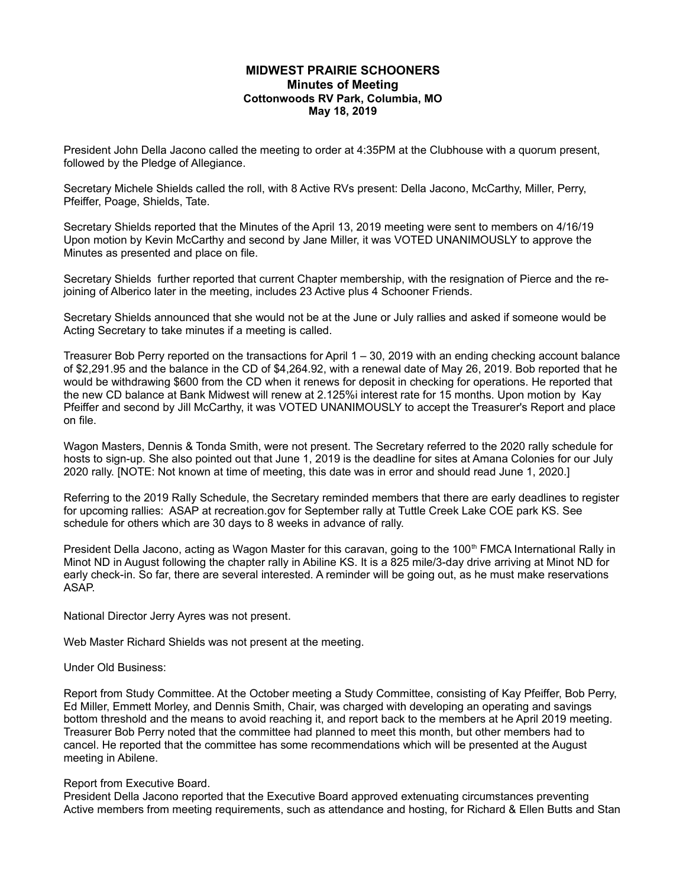## **MIDWEST PRAIRIE SCHOONERS Minutes of Meeting Cottonwoods RV Park, Columbia, MO May 18, 2019**

President John Della Jacono called the meeting to order at 4:35PM at the Clubhouse with a quorum present, followed by the Pledge of Allegiance.

Secretary Michele Shields called the roll, with 8 Active RVs present: Della Jacono, McCarthy, Miller, Perry, Pfeiffer, Poage, Shields, Tate.

Secretary Shields reported that the Minutes of the April 13, 2019 meeting were sent to members on 4/16/19 Upon motion by Kevin McCarthy and second by Jane Miller, it was VOTED UNANIMOUSLY to approve the Minutes as presented and place on file.

Secretary Shields further reported that current Chapter membership, with the resignation of Pierce and the rejoining of Alberico later in the meeting, includes 23 Active plus 4 Schooner Friends.

Secretary Shields announced that she would not be at the June or July rallies and asked if someone would be Acting Secretary to take minutes if a meeting is called.

Treasurer Bob Perry reported on the transactions for April 1 – 30, 2019 with an ending checking account balance of \$2,291.95 and the balance in the CD of \$4,264.92, with a renewal date of May 26, 2019. Bob reported that he would be withdrawing \$600 from the CD when it renews for deposit in checking for operations. He reported that the new CD balance at Bank Midwest will renew at 2.125%i interest rate for 15 months. Upon motion by Kay Pfeiffer and second by Jill McCarthy, it was VOTED UNANIMOUSLY to accept the Treasurer's Report and place on file.

Wagon Masters, Dennis & Tonda Smith, were not present. The Secretary referred to the 2020 rally schedule for hosts to sign-up. She also pointed out that June 1, 2019 is the deadline for sites at Amana Colonies for our July 2020 rally. [NOTE: Not known at time of meeting, this date was in error and should read June 1, 2020.]

Referring to the 2019 Rally Schedule, the Secretary reminded members that there are early deadlines to register for upcoming rallies: ASAP at recreation.gov for September rally at Tuttle Creek Lake COE park KS. See schedule for others which are 30 days to 8 weeks in advance of rally.

President Della Jacono, acting as Wagon Master for this caravan, going to the 100<sup>th</sup> FMCA International Rally in Minot ND in August following the chapter rally in Abiline KS. It is a 825 mile/3-day drive arriving at Minot ND for early check-in. So far, there are several interested. A reminder will be going out, as he must make reservations ASAP.

National Director Jerry Ayres was not present.

Web Master Richard Shields was not present at the meeting.

Under Old Business:

Report from Study Committee. At the October meeting a Study Committee, consisting of Kay Pfeiffer, Bob Perry, Ed Miller, Emmett Morley, and Dennis Smith, Chair, was charged with developing an operating and savings bottom threshold and the means to avoid reaching it, and report back to the members at he April 2019 meeting. Treasurer Bob Perry noted that the committee had planned to meet this month, but other members had to cancel. He reported that the committee has some recommendations which will be presented at the August meeting in Abilene.

## Report from Executive Board.

President Della Jacono reported that the Executive Board approved extenuating circumstances preventing Active members from meeting requirements, such as attendance and hosting, for Richard & Ellen Butts and Stan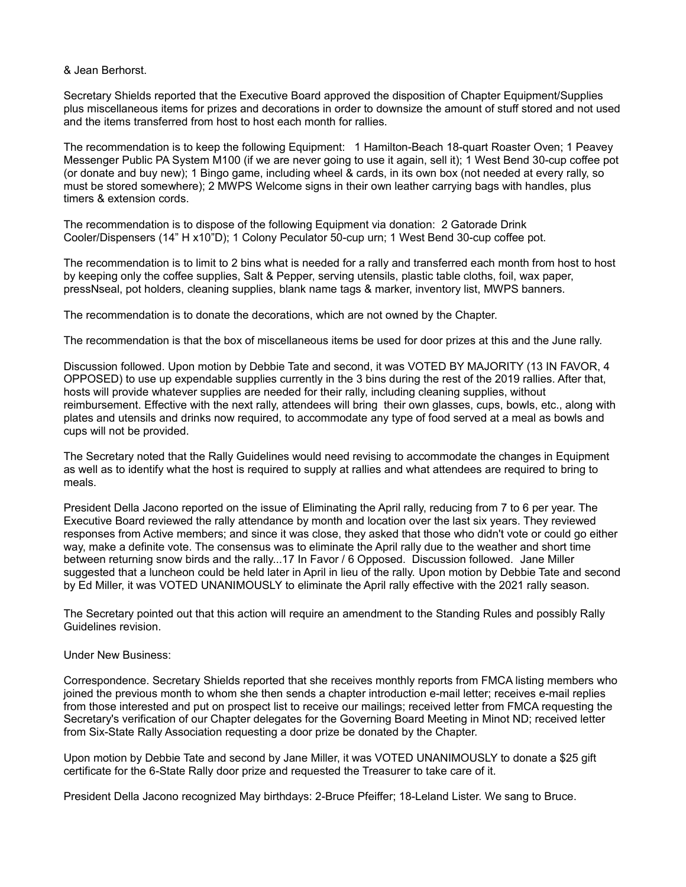& Jean Berhorst.

Secretary Shields reported that the Executive Board approved the disposition of Chapter Equipment/Supplies plus miscellaneous items for prizes and decorations in order to downsize the amount of stuff stored and not used and the items transferred from host to host each month for rallies.

The recommendation is to keep the following Equipment: 1 Hamilton-Beach 18-quart Roaster Oven; 1 Peavey Messenger Public PA System M100 (if we are never going to use it again, sell it); 1 West Bend 30-cup coffee pot (or donate and buy new); 1 Bingo game, including wheel & cards, in its own box (not needed at every rally, so must be stored somewhere); 2 MWPS Welcome signs in their own leather carrying bags with handles, plus timers & extension cords.

The recommendation is to dispose of the following Equipment via donation: 2 Gatorade Drink Cooler/Dispensers (14" H x10"D); 1 Colony Peculator 50-cup urn; 1 West Bend 30-cup coffee pot.

The recommendation is to limit to 2 bins what is needed for a rally and transferred each month from host to host by keeping only the coffee supplies, Salt & Pepper, serving utensils, plastic table cloths, foil, wax paper, pressNseal, pot holders, cleaning supplies, blank name tags & marker, inventory list, MWPS banners.

The recommendation is to donate the decorations, which are not owned by the Chapter.

The recommendation is that the box of miscellaneous items be used for door prizes at this and the June rally.

Discussion followed. Upon motion by Debbie Tate and second, it was VOTED BY MAJORITY (13 IN FAVOR, 4 OPPOSED) to use up expendable supplies currently in the 3 bins during the rest of the 2019 rallies. After that, hosts will provide whatever supplies are needed for their rally, including cleaning supplies, without reimbursement. Effective with the next rally, attendees will bring their own glasses, cups, bowls, etc., along with plates and utensils and drinks now required, to accommodate any type of food served at a meal as bowls and cups will not be provided.

The Secretary noted that the Rally Guidelines would need revising to accommodate the changes in Equipment as well as to identify what the host is required to supply at rallies and what attendees are required to bring to meals.

President Della Jacono reported on the issue of Eliminating the April rally, reducing from 7 to 6 per year. The Executive Board reviewed the rally attendance by month and location over the last six years. They reviewed responses from Active members; and since it was close, they asked that those who didn't vote or could go either way, make a definite vote. The consensus was to eliminate the April rally due to the weather and short time between returning snow birds and the rally...17 In Favor / 6 Opposed. Discussion followed. Jane Miller suggested that a luncheon could be held later in April in lieu of the rally. Upon motion by Debbie Tate and second by Ed Miller, it was VOTED UNANIMOUSLY to eliminate the April rally effective with the 2021 rally season.

The Secretary pointed out that this action will require an amendment to the Standing Rules and possibly Rally Guidelines revision.

## Under New Business:

Correspondence. Secretary Shields reported that she receives monthly reports from FMCA listing members who joined the previous month to whom she then sends a chapter introduction e-mail letter; receives e-mail replies from those interested and put on prospect list to receive our mailings; received letter from FMCA requesting the Secretary's verification of our Chapter delegates for the Governing Board Meeting in Minot ND; received letter from Six-State Rally Association requesting a door prize be donated by the Chapter.

Upon motion by Debbie Tate and second by Jane Miller, it was VOTED UNANIMOUSLY to donate a \$25 gift certificate for the 6-State Rally door prize and requested the Treasurer to take care of it.

President Della Jacono recognized May birthdays: 2-Bruce Pfeiffer; 18-Leland Lister. We sang to Bruce.